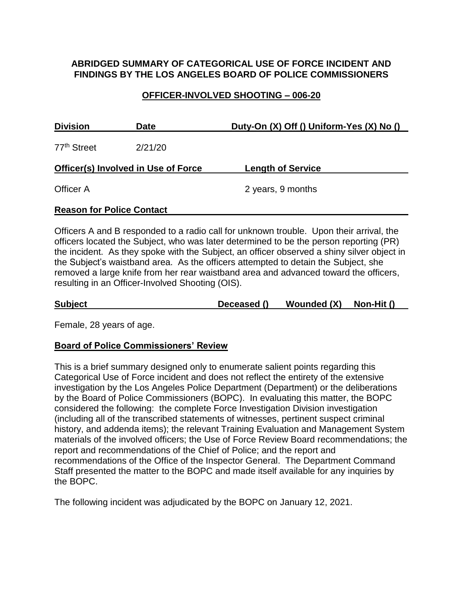## **ABRIDGED SUMMARY OF CATEGORICAL USE OF FORCE INCIDENT AND FINDINGS BY THE LOS ANGELES BOARD OF POLICE COMMISSIONERS**

#### **OFFICER-INVOLVED SHOOTING – 006-20**

| <b>Division</b>                            | <b>Date</b> | Duty-On (X) Off () Uniform-Yes (X) No () |  |  |
|--------------------------------------------|-------------|------------------------------------------|--|--|
| 77 <sup>th</sup> Street                    | 2/21/20     |                                          |  |  |
| <b>Officer(s) Involved in Use of Force</b> |             | <b>Length of Service</b>                 |  |  |
| Officer A                                  |             | 2 years, 9 months                        |  |  |

#### **Reason for Police Contact**

Officers A and B responded to a radio call for unknown trouble. Upon their arrival, the officers located the Subject, who was later determined to be the person reporting (PR) the incident. As they spoke with the Subject, an officer observed a shiny silver object in the Subject's waistband area. As the officers attempted to detain the Subject, she removed a large knife from her rear waistband area and advanced toward the officers, resulting in an Officer-Involved Shooting (OIS).

**Subject Deceased () Wounded (X) Non-Hit ()**

Female, 28 years of age.

#### **Board of Police Commissioners' Review**

This is a brief summary designed only to enumerate salient points regarding this Categorical Use of Force incident and does not reflect the entirety of the extensive investigation by the Los Angeles Police Department (Department) or the deliberations by the Board of Police Commissioners (BOPC). In evaluating this matter, the BOPC considered the following: the complete Force Investigation Division investigation (including all of the transcribed statements of witnesses, pertinent suspect criminal history, and addenda items); the relevant Training Evaluation and Management System materials of the involved officers; the Use of Force Review Board recommendations; the report and recommendations of the Chief of Police; and the report and recommendations of the Office of the Inspector General. The Department Command Staff presented the matter to the BOPC and made itself available for any inquiries by the BOPC.

The following incident was adjudicated by the BOPC on January 12, 2021.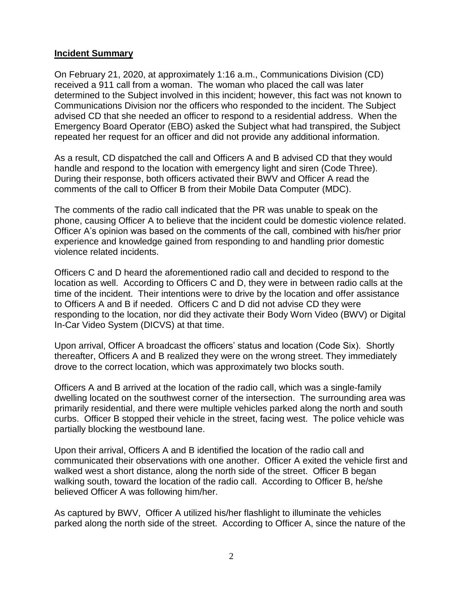#### **Incident Summary**

On February 21, 2020, at approximately 1:16 a.m., Communications Division (CD) received a 911 call from a woman. The woman who placed the call was later determined to the Subject involved in this incident; however, this fact was not known to Communications Division nor the officers who responded to the incident. The Subject advised CD that she needed an officer to respond to a residential address. When the Emergency Board Operator (EBO) asked the Subject what had transpired, the Subject repeated her request for an officer and did not provide any additional information.

As a result, CD dispatched the call and Officers A and B advised CD that they would handle and respond to the location with emergency light and siren (Code Three). During their response, both officers activated their BWV and Officer A read the comments of the call to Officer B from their Mobile Data Computer (MDC).

The comments of the radio call indicated that the PR was unable to speak on the phone, causing Officer A to believe that the incident could be domestic violence related. Officer A's opinion was based on the comments of the call, combined with his/her prior experience and knowledge gained from responding to and handling prior domestic violence related incidents.

Officers C and D heard the aforementioned radio call and decided to respond to the location as well. According to Officers C and D, they were in between radio calls at the time of the incident. Their intentions were to drive by the location and offer assistance to Officers A and B if needed. Officers C and D did not advise CD they were responding to the location, nor did they activate their Body Worn Video (BWV) or Digital In-Car Video System (DICVS) at that time.

Upon arrival, Officer A broadcast the officers' status and location (Code Six). Shortly thereafter, Officers A and B realized they were on the wrong street. They immediately drove to the correct location, which was approximately two blocks south.

Officers A and B arrived at the location of the radio call, which was a single-family dwelling located on the southwest corner of the intersection. The surrounding area was primarily residential, and there were multiple vehicles parked along the north and south curbs. Officer B stopped their vehicle in the street, facing west. The police vehicle was partially blocking the westbound lane.

Upon their arrival, Officers A and B identified the location of the radio call and communicated their observations with one another. Officer A exited the vehicle first and walked west a short distance, along the north side of the street. Officer B began walking south, toward the location of the radio call. According to Officer B, he/she believed Officer A was following him/her.

As captured by BWV, Officer A utilized his/her flashlight to illuminate the vehicles parked along the north side of the street. According to Officer A, since the nature of the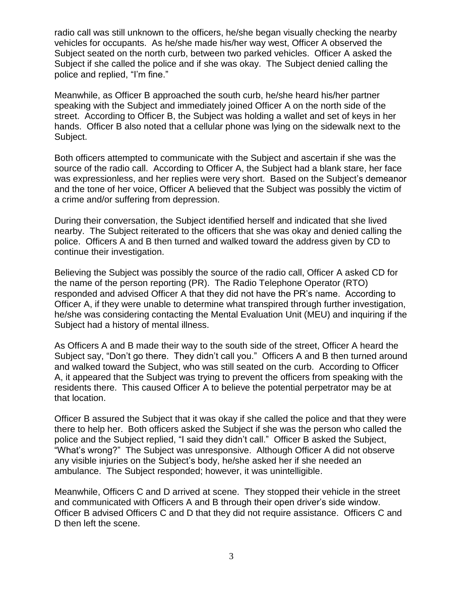radio call was still unknown to the officers, he/she began visually checking the nearby vehicles for occupants. As he/she made his/her way west, Officer A observed the Subject seated on the north curb, between two parked vehicles. Officer A asked the Subject if she called the police and if she was okay. The Subject denied calling the police and replied, "I'm fine."

Meanwhile, as Officer B approached the south curb, he/she heard his/her partner speaking with the Subject and immediately joined Officer A on the north side of the street. According to Officer B, the Subject was holding a wallet and set of keys in her hands. Officer B also noted that a cellular phone was lying on the sidewalk next to the Subject.

Both officers attempted to communicate with the Subject and ascertain if she was the source of the radio call. According to Officer A, the Subject had a blank stare, her face was expressionless, and her replies were very short. Based on the Subject's demeanor and the tone of her voice, Officer A believed that the Subject was possibly the victim of a crime and/or suffering from depression.

During their conversation, the Subject identified herself and indicated that she lived nearby. The Subject reiterated to the officers that she was okay and denied calling the police. Officers A and B then turned and walked toward the address given by CD to continue their investigation.

Believing the Subject was possibly the source of the radio call, Officer A asked CD for the name of the person reporting (PR). The Radio Telephone Operator (RTO) responded and advised Officer A that they did not have the PR's name. According to Officer A, if they were unable to determine what transpired through further investigation, he/she was considering contacting the Mental Evaluation Unit (MEU) and inquiring if the Subject had a history of mental illness.

As Officers A and B made their way to the south side of the street, Officer A heard the Subject say, "Don't go there. They didn't call you."Officers A and B then turned around and walked toward the Subject, who was still seated on the curb. According to Officer A, it appeared that the Subject was trying to prevent the officers from speaking with the residents there. This caused Officer A to believe the potential perpetrator may be at that location.

Officer B assured the Subject that it was okay if she called the police and that they were there to help her. Both officers asked the Subject if she was the person who called the police and the Subject replied, "I said they didn't call."Officer B asked the Subject, "What's wrong?" The Subject was unresponsive. Although Officer A did not observe any visible injuries on the Subject's body, he/she asked her if she needed an ambulance. The Subject responded; however, it was unintelligible.

Meanwhile, Officers C and D arrived at scene. They stopped their vehicle in the street and communicated with Officers A and B through their open driver's side window. Officer B advised Officers C and D that they did not require assistance. Officers C and D then left the scene.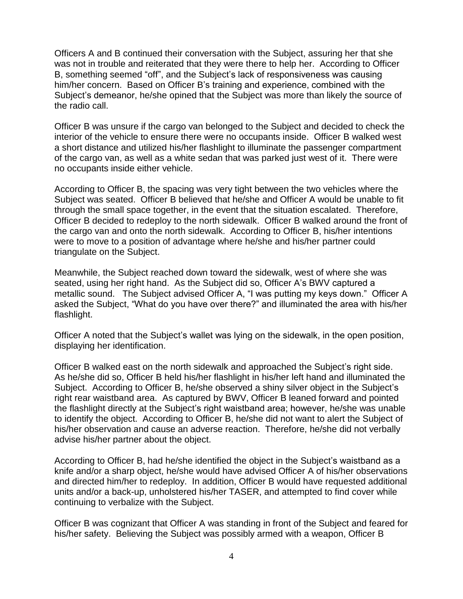Officers A and B continued their conversation with the Subject, assuring her that she was not in trouble and reiterated that they were there to help her. According to Officer B, something seemed "off", and the Subject's lack of responsiveness was causing him/her concern. Based on Officer B's training and experience, combined with the Subject's demeanor, he/she opined that the Subject was more than likely the source of the radio call.

Officer B was unsure if the cargo van belonged to the Subject and decided to check the interior of the vehicle to ensure there were no occupants inside. Officer B walked west a short distance and utilized his/her flashlight to illuminate the passenger compartment of the cargo van, as well as a white sedan that was parked just west of it. There were no occupants inside either vehicle.

According to Officer B, the spacing was very tight between the two vehicles where the Subject was seated. Officer B believed that he/she and Officer A would be unable to fit through the small space together, in the event that the situation escalated. Therefore, Officer B decided to redeploy to the north sidewalk. Officer B walked around the front of the cargo van and onto the north sidewalk. According to Officer B, his/her intentions were to move to a position of advantage where he/she and his/her partner could triangulate on the Subject.

Meanwhile, the Subject reached down toward the sidewalk, west of where she was seated, using her right hand. As the Subject did so, Officer A's BWV captured a metallic sound. The Subject advised Officer A, "I was putting my keys down." Officer A asked the Subject, "What do you have over there?" and illuminated the area with his/her flashlight.

Officer A noted that the Subject's wallet was lying on the sidewalk, in the open position, displaying her identification.

Officer B walked east on the north sidewalk and approached the Subject's right side. As he/she did so, Officer B held his/her flashlight in his/her left hand and illuminated the Subject. According to Officer B, he/she observed a shiny silver object in the Subject's right rear waistband area. As captured by BWV, Officer B leaned forward and pointed the flashlight directly at the Subject's right waistband area; however, he/she was unable to identify the object. According to Officer B, he/she did not want to alert the Subject of his/her observation and cause an adverse reaction. Therefore, he/she did not verbally advise his/her partner about the object.

According to Officer B, had he/she identified the object in the Subject's waistband as a knife and/or a sharp object, he/she would have advised Officer A of his/her observations and directed him/her to redeploy. In addition, Officer B would have requested additional units and/or a back-up, unholstered his/her TASER, and attempted to find cover while continuing to verbalize with the Subject.

Officer B was cognizant that Officer A was standing in front of the Subject and feared for his/her safety. Believing the Subject was possibly armed with a weapon, Officer B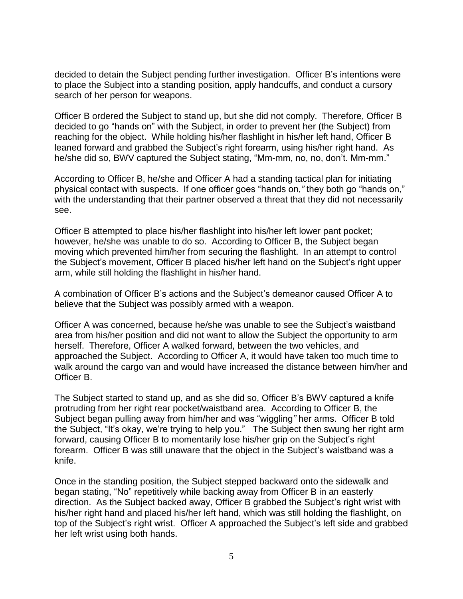decided to detain the Subject pending further investigation. Officer B's intentions were to place the Subject into a standing position, apply handcuffs, and conduct a cursory search of her person for weapons.

Officer B ordered the Subject to stand up, but she did not comply. Therefore, Officer B decided to go "hands on" with the Subject, in order to prevent her (the Subject) from reaching for the object. While holding his/her flashlight in his/her left hand, Officer B leaned forward and grabbed the Subject's right forearm, using his/her right hand. As he/she did so, BWV captured the Subject stating, "Mm-mm, no, no, don't. Mm-mm."

According to Officer B, he/she and Officer A had a standing tactical plan for initiating physical contact with suspects. If one officer goes "hands on,*"* they both go "hands on," with the understanding that their partner observed a threat that they did not necessarily see.

Officer B attempted to place his/her flashlight into his/her left lower pant pocket; however, he/she was unable to do so. According to Officer B, the Subject began moving which prevented him/her from securing the flashlight. In an attempt to control the Subject's movement, Officer B placed his/her left hand on the Subject's right upper arm, while still holding the flashlight in his/her hand.

A combination of Officer B's actions and the Subject's demeanor caused Officer A to believe that the Subject was possibly armed with a weapon.

Officer A was concerned, because he/she was unable to see the Subject's waistband area from his/her position and did not want to allow the Subject the opportunity to arm herself. Therefore, Officer A walked forward, between the two vehicles, and approached the Subject. According to Officer A, it would have taken too much time to walk around the cargo van and would have increased the distance between him/her and Officer B.

The Subject started to stand up, and as she did so, Officer B's BWV captured a knife protruding from her right rear pocket/waistband area. According to Officer B, the Subject began pulling away from him/her and was "wiggling*"* her arms. Officer B told the Subject, "It's okay, we're trying to help you." The Subject then swung her right arm forward, causing Officer B to momentarily lose his/her grip on the Subject's right forearm. Officer B was still unaware that the object in the Subject's waistband was a knife.

Once in the standing position, the Subject stepped backward onto the sidewalk and began stating, "No" repetitively while backing away from Officer B in an easterly direction. As the Subject backed away, Officer B grabbed the Subject's right wrist with his/her right hand and placed his/her left hand, which was still holding the flashlight, on top of the Subject's right wrist. Officer A approached the Subject's left side and grabbed her left wrist using both hands.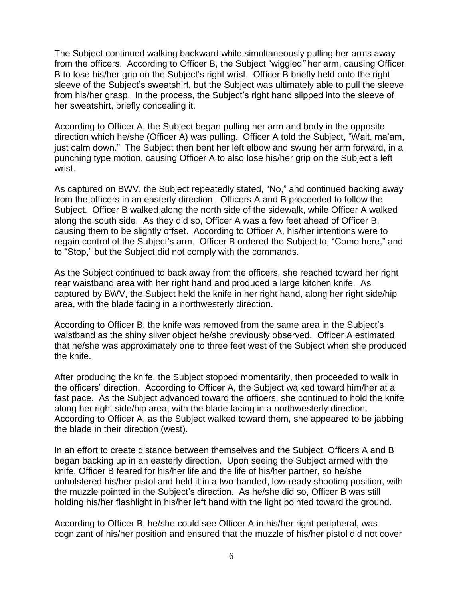The Subject continued walking backward while simultaneously pulling her arms away from the officers. According to Officer B, the Subject "wiggled*"* her arm, causing Officer B to lose his/her grip on the Subject's right wrist. Officer B briefly held onto the right sleeve of the Subject's sweatshirt, but the Subject was ultimately able to pull the sleeve from his/her grasp. In the process, the Subject's right hand slipped into the sleeve of her sweatshirt, briefly concealing it.

According to Officer A, the Subject began pulling her arm and body in the opposite direction which he/she (Officer A) was pulling. Officer A told the Subject, "Wait, ma'am, just calm down." The Subject then bent her left elbow and swung her arm forward, in a punching type motion, causing Officer A to also lose his/her grip on the Subject's left wrist.

As captured on BWV, the Subject repeatedly stated, "No," and continued backing away from the officers in an easterly direction. Officers A and B proceeded to follow the Subject. Officer B walked along the north side of the sidewalk, while Officer A walked along the south side. As they did so, Officer A was a few feet ahead of Officer B, causing them to be slightly offset. According to Officer A, his/her intentions were to regain control of the Subject's arm. Officer B ordered the Subject to, "Come here," and to "Stop," but the Subject did not comply with the commands.

As the Subject continued to back away from the officers, she reached toward her right rear waistband area with her right hand and produced a large kitchen knife. As captured by BWV, the Subject held the knife in her right hand, along her right side/hip area, with the blade facing in a northwesterly direction.

According to Officer B, the knife was removed from the same area in the Subject's waistband as the shiny silver object he/she previously observed. Officer A estimated that he/she was approximately one to three feet west of the Subject when she produced the knife.

After producing the knife, the Subject stopped momentarily, then proceeded to walk in the officers' direction. According to Officer A, the Subject walked toward him/her at a fast pace. As the Subject advanced toward the officers, she continued to hold the knife along her right side/hip area, with the blade facing in a northwesterly direction. According to Officer A, as the Subject walked toward them, she appeared to be jabbing the blade in their direction (west).

In an effort to create distance between themselves and the Subject, Officers A and B began backing up in an easterly direction. Upon seeing the Subject armed with the knife, Officer B feared for his/her life and the life of his/her partner, so he/she unholstered his/her pistol and held it in a two-handed, low-ready shooting position, with the muzzle pointed in the Subject's direction. As he/she did so, Officer B was still holding his/her flashlight in his/her left hand with the light pointed toward the ground.

According to Officer B, he/she could see Officer A in his/her right peripheral, was cognizant of his/her position and ensured that the muzzle of his/her pistol did not cover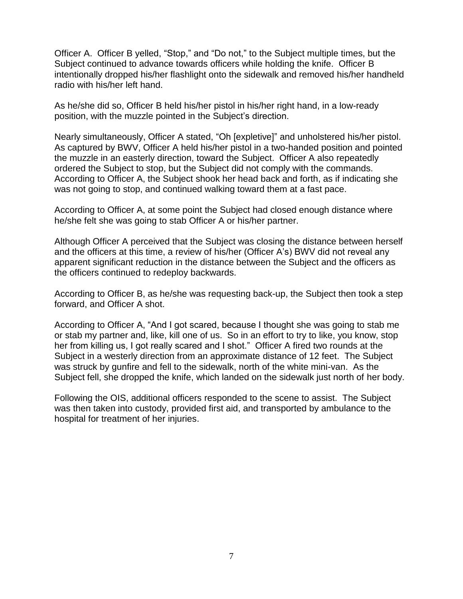Officer A. Officer B yelled, "Stop," and "Do not," to the Subject multiple times, but the Subject continued to advance towards officers while holding the knife. Officer B intentionally dropped his/her flashlight onto the sidewalk and removed his/her handheld radio with his/her left hand.

As he/she did so, Officer B held his/her pistol in his/her right hand, in a low-ready position, with the muzzle pointed in the Subject's direction.

Nearly simultaneously, Officer A stated, "Oh [expletive]" and unholstered his/her pistol. As captured by BWV, Officer A held his/her pistol in a two-handed position and pointed the muzzle in an easterly direction, toward the Subject. Officer A also repeatedly ordered the Subject to stop, but the Subject did not comply with the commands. According to Officer A, the Subject shook her head back and forth, as if indicating she was not going to stop, and continued walking toward them at a fast pace.

According to Officer A, at some point the Subject had closed enough distance where he/she felt she was going to stab Officer A or his/her partner.

Although Officer A perceived that the Subject was closing the distance between herself and the officers at this time, a review of his/her (Officer A's) BWV did not reveal any apparent significant reduction in the distance between the Subject and the officers as the officers continued to redeploy backwards.

According to Officer B, as he/she was requesting back-up, the Subject then took a step forward, and Officer A shot.

According to Officer A, "And I got scared, because I thought she was going to stab me or stab my partner and, like, kill one of us. So in an effort to try to like, you know, stop her from killing us, I got really scared and I shot."Officer A fired two rounds at the Subject in a westerly direction from an approximate distance of 12 feet. The Subject was struck by gunfire and fell to the sidewalk, north of the white mini-van. As the Subject fell, she dropped the knife, which landed on the sidewalk just north of her body.

Following the OIS, additional officers responded to the scene to assist. The Subject was then taken into custody, provided first aid, and transported by ambulance to the hospital for treatment of her injuries.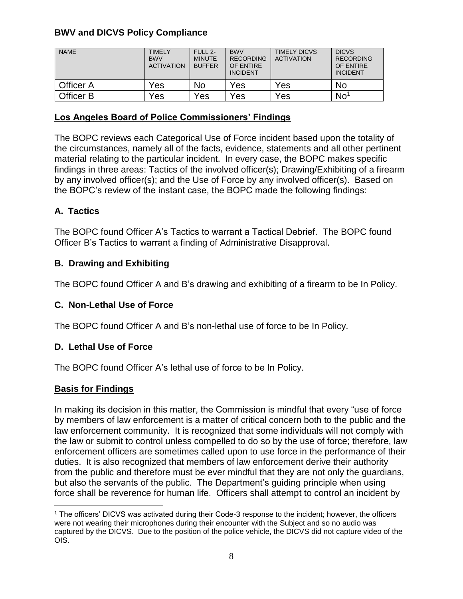# **BWV and DICVS Policy Compliance**

| <b>NAME</b> | <b>TIMELY</b><br><b>BWV</b><br><b>ACTIVATION</b> | FULL 2-<br><b>MINUTE</b><br><b>BUFFER</b> | <b>BWV</b><br><b>RECORDING</b><br>OF ENTIRE<br><b>INCIDENT</b> | <b>TIMELY DICVS</b><br><b>ACTIVATION</b> | <b>DICVS</b><br><b>RECORDING</b><br>OF ENTIRE<br><b>INCIDENT</b> |
|-------------|--------------------------------------------------|-------------------------------------------|----------------------------------------------------------------|------------------------------------------|------------------------------------------------------------------|
| Officer A   | Yes                                              | No                                        | Yes                                                            | Yes                                      | No                                                               |
| Officer B   | Yes                                              | Yes                                       | Yes                                                            | Yes                                      | No <sup>1</sup>                                                  |

#### **Los Angeles Board of Police Commissioners' Findings**

The BOPC reviews each Categorical Use of Force incident based upon the totality of the circumstances, namely all of the facts, evidence, statements and all other pertinent material relating to the particular incident. In every case, the BOPC makes specific findings in three areas: Tactics of the involved officer(s); Drawing/Exhibiting of a firearm by any involved officer(s); and the Use of Force by any involved officer(s). Based on the BOPC's review of the instant case, the BOPC made the following findings:

# **A. Tactics**

The BOPC found Officer A's Tactics to warrant a Tactical Debrief. The BOPC found Officer B's Tactics to warrant a finding of Administrative Disapproval.

## **B. Drawing and Exhibiting**

The BOPC found Officer A and B's drawing and exhibiting of a firearm to be In Policy.

## **C. Non-Lethal Use of Force**

The BOPC found Officer A and B's non-lethal use of force to be In Policy.

## **D. Lethal Use of Force**

The BOPC found Officer A's lethal use of force to be In Policy.

## **Basis for Findings**

 $\overline{a}$ 

In making its decision in this matter, the Commission is mindful that every "use of force by members of law enforcement is a matter of critical concern both to the public and the law enforcement community. It is recognized that some individuals will not comply with the law or submit to control unless compelled to do so by the use of force; therefore, law enforcement officers are sometimes called upon to use force in the performance of their duties. It is also recognized that members of law enforcement derive their authority from the public and therefore must be ever mindful that they are not only the guardians, but also the servants of the public. The Department's guiding principle when using force shall be reverence for human life. Officers shall attempt to control an incident by

<sup>1</sup> The officers' DICVS was activated during their Code-3 response to the incident; however, the officers were not wearing their microphones during their encounter with the Subject and so no audio was captured by the DICVS. Due to the position of the police vehicle, the DICVS did not capture video of the OIS.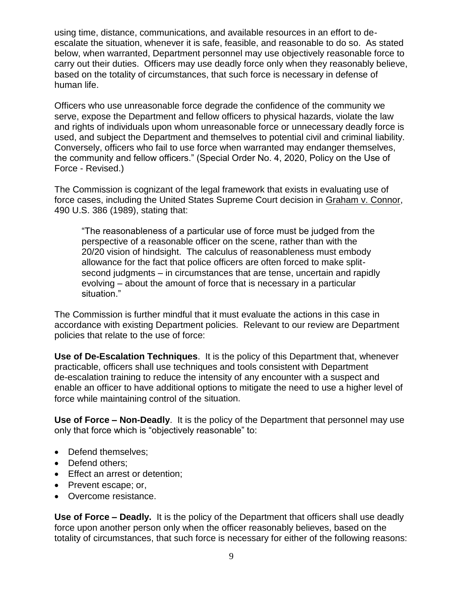using time, distance, communications, and available resources in an effort to deescalate the situation, whenever it is safe, feasible, and reasonable to do so. As stated below, when warranted, Department personnel may use objectively reasonable force to carry out their duties. Officers may use deadly force only when they reasonably believe, based on the totality of circumstances, that such force is necessary in defense of human life.

Officers who use unreasonable force degrade the confidence of the community we serve, expose the Department and fellow officers to physical hazards, violate the law and rights of individuals upon whom unreasonable force or unnecessary deadly force is used, and subject the Department and themselves to potential civil and criminal liability. Conversely, officers who fail to use force when warranted may endanger themselves, the community and fellow officers." (Special Order No. 4, 2020, Policy on the Use of Force - Revised.)

The Commission is cognizant of the legal framework that exists in evaluating use of force cases, including the United States Supreme Court decision in Graham v. Connor, 490 U.S. 386 (1989), stating that:

"The reasonableness of a particular use of force must be judged from the perspective of a reasonable officer on the scene, rather than with the 20/20 vision of hindsight. The calculus of reasonableness must embody allowance for the fact that police officers are often forced to make splitsecond judgments – in circumstances that are tense, uncertain and rapidly evolving – about the amount of force that is necessary in a particular situation."

The Commission is further mindful that it must evaluate the actions in this case in accordance with existing Department policies. Relevant to our review are Department policies that relate to the use of force:

**Use of De-Escalation Techniques**. It is the policy of this Department that, whenever practicable, officers shall use techniques and tools consistent with Department de-escalation training to reduce the intensity of any encounter with a suspect and enable an officer to have additional options to mitigate the need to use a higher level of force while maintaining control of the situation.

**Use of Force – Non-Deadly**. It is the policy of the Department that personnel may use only that force which is "objectively reasonable" to:

- Defend themselves:
- Defend others;
- Effect an arrest or detention;
- Prevent escape; or,
- Overcome resistance.

**Use of Force – Deadly.** It is the policy of the Department that officers shall use deadly force upon another person only when the officer reasonably believes, based on the totality of circumstances, that such force is necessary for either of the following reasons: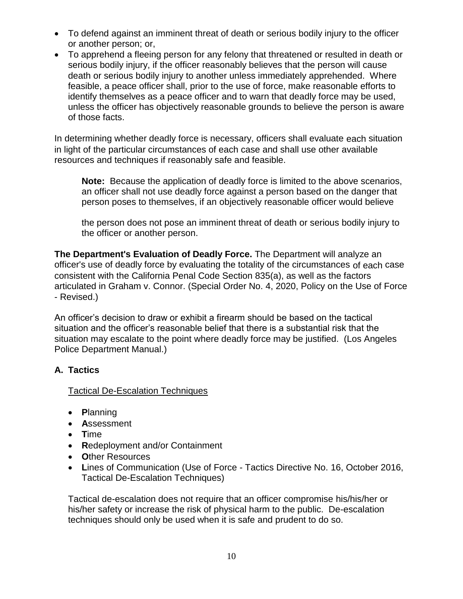- To defend against an imminent threat of death or serious bodily injury to the officer or another person; or,
- To apprehend a fleeing person for any felony that threatened or resulted in death or serious bodily injury, if the officer reasonably believes that the person will cause death or serious bodily injury to another unless immediately apprehended. Where feasible, a peace officer shall, prior to the use of force, make reasonable efforts to identify themselves as a peace officer and to warn that deadly force may be used, unless the officer has objectively reasonable grounds to believe the person is aware of those facts.

In determining whether deadly force is necessary, officers shall evaluate each situation in light of the particular circumstances of each case and shall use other available resources and techniques if reasonably safe and feasible.

**Note:** Because the application of deadly force is limited to the above scenarios, an officer shall not use deadly force against a person based on the danger that person poses to themselves, if an objectively reasonable officer would believe

the person does not pose an imminent threat of death or serious bodily injury to the officer or another person.

**The Department's Evaluation of Deadly Force.** The Department will analyze an officer's use of deadly force by evaluating the totality of the circumstances of each case consistent with the California Penal Code Section 835(a), as well as the factors articulated in Graham v. Connor. (Special Order No. 4, 2020, Policy on the Use of Force - Revised.)

An officer's decision to draw or exhibit a firearm should be based on the tactical situation and the officer's reasonable belief that there is a substantial risk that the situation may escalate to the point where deadly force may be justified. (Los Angeles Police Department Manual.)

## **A. Tactics**

## Tactical De-Escalation Techniques

- **P**lanning
- **A**ssessment
- **T**ime
- **R**edeployment and/or Containment
- **O**ther Resources
- **L**ines of Communication (Use of Force Tactics Directive No. 16, October 2016, Tactical De-Escalation Techniques)

Tactical de-escalation does not require that an officer compromise his/his/her or his/her safety or increase the risk of physical harm to the public. De-escalation techniques should only be used when it is safe and prudent to do so.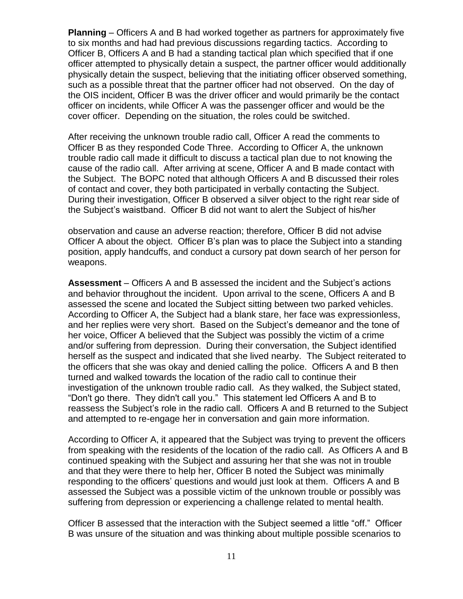**Planning** – Officers A and B had worked together as partners for approximately five to six months and had had previous discussions regarding tactics. According to Officer B, Officers A and B had a standing tactical plan which specified that if one officer attempted to physically detain a suspect, the partner officer would additionally physically detain the suspect, believing that the initiating officer observed something, such as a possible threat that the partner officer had not observed. On the day of the OIS incident, Officer B was the driver officer and would primarily be the contact officer on incidents, while Officer A was the passenger officer and would be the cover officer. Depending on the situation, the roles could be switched.

After receiving the unknown trouble radio call, Officer A read the comments to Officer B as they responded Code Three. According to Officer A, the unknown trouble radio call made it difficult to discuss a tactical plan due to not knowing the cause of the radio call. After arriving at scene, Officer A and B made contact with the Subject. The BOPC noted that although Officers A and B discussed their roles of contact and cover, they both participated in verbally contacting the Subject. During their investigation, Officer B observed a silver object to the right rear side of the Subject's waistband. Officer B did not want to alert the Subject of his/her

observation and cause an adverse reaction; therefore, Officer B did not advise Officer A about the object. Officer B's plan was to place the Subject into a standing position, apply handcuffs, and conduct a cursory pat down search of her person for weapons.

**Assessment** – Officers A and B assessed the incident and the Subject's actions and behavior throughout the incident. Upon arrival to the scene, Officers A and B assessed the scene and located the Subject sitting between two parked vehicles. According to Officer A, the Subject had a blank stare, her face was expressionless, and her replies were very short. Based on the Subject's demeanor and the tone of her voice, Officer A believed that the Subject was possibly the victim of a crime and/or suffering from depression. During their conversation, the Subject identified herself as the suspect and indicated that she lived nearby. The Subject reiterated to the officers that she was okay and denied calling the police. Officers A and B then turned and walked towards the location of the radio call to continue their investigation of the unknown trouble radio call. As they walked, the Subject stated, "Don't go there. They didn't call you." This statement led Officers A and B to reassess the Subject's role in the radio call. Officers A and B returned to the Subject and attempted to re-engage her in conversation and gain more information.

According to Officer A, it appeared that the Subject was trying to prevent the officers from speaking with the residents of the location of the radio call. As Officers A and B continued speaking with the Subject and assuring her that she was not in trouble and that they were there to help her, Officer B noted the Subject was minimally responding to the officers' questions and would just look at them. Officers A and B assessed the Subject was a possible victim of the unknown trouble or possibly was suffering from depression or experiencing a challenge related to mental health.

Officer B assessed that the interaction with the Subject seemed a little "off." Officer B was unsure of the situation and was thinking about multiple possible scenarios to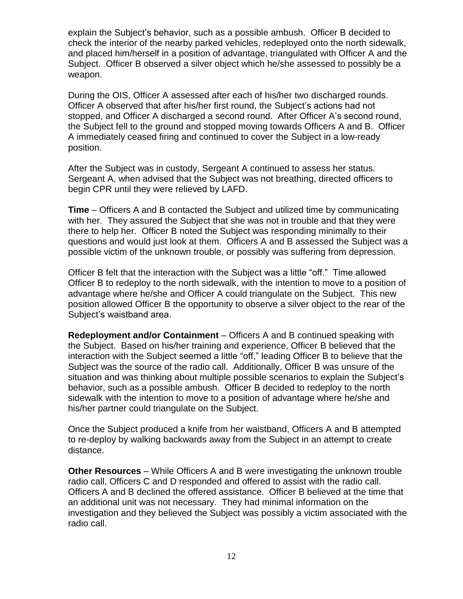explain the Subject's behavior, such as a possible ambush. Officer B decided to check the interior of the nearby parked vehicles, redeployed onto the north sidewalk, and placed him/herself in a position of advantage, triangulated with Officer A and the Subject. Officer B observed a silver object which he/she assessed to possibly be a weapon.

During the OIS, Officer A assessed after each of his/her two discharged rounds. Officer A observed that after his/her first round, the Subject's actions had not stopped, and Officer A discharged a second round. After Officer A's second round, the Subject fell to the ground and stopped moving towards Officers A and B. Officer A immediately ceased firing and continued to cover the Subject in a low-ready position.

After the Subject was in custody, Sergeant A continued to assess her status. Sergeant A, when advised that the Subject was not breathing, directed officers to begin CPR until they were relieved by LAFD.

**Time** – Officers A and B contacted the Subject and utilized time by communicating with her. They assured the Subject that she was not in trouble and that they were there to help her. Officer B noted the Subject was responding minimally to their questions and would just look at them. Officers A and B assessed the Subject was a possible victim of the unknown trouble, or possibly was suffering from depression.

Officer B felt that the interaction with the Subject was a little "off." Time allowed Officer B to redeploy to the north sidewalk, with the intention to move to a position of advantage where he/she and Officer A could triangulate on the Subject. This new position allowed Officer B the opportunity to observe a silver object to the rear of the Subject's waistband area.

**Redeployment and/or Containment** – Officers A and B continued speaking with the Subject. Based on his/her training and experience, Officer B believed that the interaction with the Subject seemed a little "off," leading Officer B to believe that the Subject was the source of the radio call. Additionally, Officer B was unsure of the situation and was thinking about multiple possible scenarios to explain the Subject's behavior, such as a possible ambush. Officer B decided to redeploy to the north sidewalk with the intention to move to a position of advantage where he/she and his/her partner could triangulate on the Subject.

Once the Subject produced a knife from her waistband, Officers A and B attempted to re-deploy by walking backwards away from the Subject in an attempt to create distance.

**Other Resources** – While Officers A and B were investigating the unknown trouble radio call, Officers C and D responded and offered to assist with the radio call. Officers A and B declined the offered assistance. Officer B believed at the time that an additional unit was not necessary. They had minimal information on the investigation and they believed the Subject was possibly a victim associated with the radio call.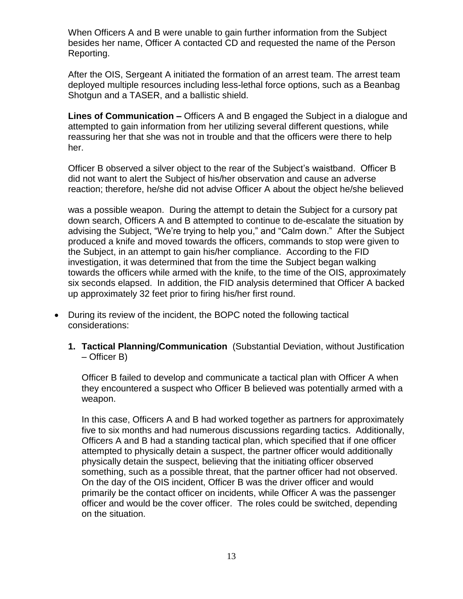When Officers A and B were unable to gain further information from the Subject besides her name, Officer A contacted CD and requested the name of the Person Reporting.

After the OIS, Sergeant A initiated the formation of an arrest team. The arrest team deployed multiple resources including less-lethal force options, such as a Beanbag Shotgun and a TASER, and a ballistic shield.

**Lines of Communication –** Officers A and B engaged the Subject in a dialogue and attempted to gain information from her utilizing several different questions, while reassuring her that she was not in trouble and that the officers were there to help her.

Officer B observed a silver object to the rear of the Subject's waistband. Officer B did not want to alert the Subject of his/her observation and cause an adverse reaction; therefore, he/she did not advise Officer A about the object he/she believed

was a possible weapon. During the attempt to detain the Subject for a cursory pat down search, Officers A and B attempted to continue to de-escalate the situation by advising the Subject, "We're trying to help you," and "Calm down." After the Subject produced a knife and moved towards the officers, commands to stop were given to the Subject, in an attempt to gain his/her compliance. According to the FID investigation, it was determined that from the time the Subject began walking towards the officers while armed with the knife, to the time of the OIS, approximately six seconds elapsed. In addition, the FID analysis determined that Officer A backed up approximately 32 feet prior to firing his/her first round.

- During its review of the incident, the BOPC noted the following tactical considerations:
	- **1. Tactical Planning/Communication** (Substantial Deviation, without Justification – Officer B)

Officer B failed to develop and communicate a tactical plan with Officer A when they encountered a suspect who Officer B believed was potentially armed with a weapon.

In this case, Officers A and B had worked together as partners for approximately five to six months and had numerous discussions regarding tactics. Additionally, Officers A and B had a standing tactical plan, which specified that if one officer attempted to physically detain a suspect, the partner officer would additionally physically detain the suspect, believing that the initiating officer observed something, such as a possible threat, that the partner officer had not observed. On the day of the OIS incident, Officer B was the driver officer and would primarily be the contact officer on incidents, while Officer A was the passenger officer and would be the cover officer. The roles could be switched, depending on the situation.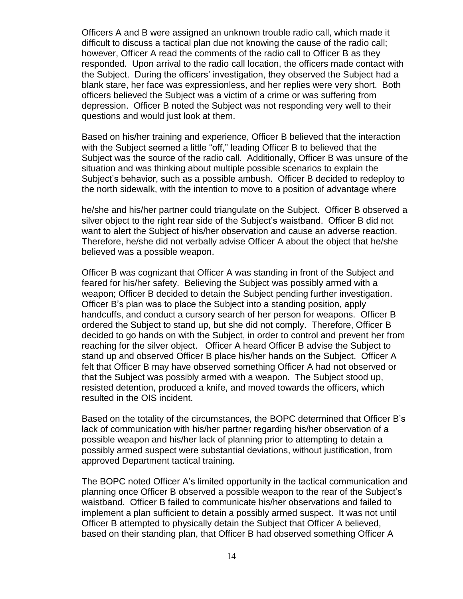Officers A and B were assigned an unknown trouble radio call, which made it difficult to discuss a tactical plan due not knowing the cause of the radio call; however, Officer A read the comments of the radio call to Officer B as they responded. Upon arrival to the radio call location, the officers made contact with the Subject. During the officers' investigation, they observed the Subject had a blank stare, her face was expressionless, and her replies were very short. Both officers believed the Subject was a victim of a crime or was suffering from depression. Officer B noted the Subject was not responding very well to their questions and would just look at them.

Based on his/her training and experience, Officer B believed that the interaction with the Subject seemed a little "off," leading Officer B to believed that the Subject was the source of the radio call. Additionally, Officer B was unsure of the situation and was thinking about multiple possible scenarios to explain the Subject's behavior, such as a possible ambush. Officer B decided to redeploy to the north sidewalk, with the intention to move to a position of advantage where

he/she and his/her partner could triangulate on the Subject. Officer B observed a silver object to the right rear side of the Subject's waistband. Officer B did not want to alert the Subject of his/her observation and cause an adverse reaction. Therefore, he/she did not verbally advise Officer A about the object that he/she believed was a possible weapon.

Officer B was cognizant that Officer A was standing in front of the Subject and feared for his/her safety. Believing the Subject was possibly armed with a weapon; Officer B decided to detain the Subject pending further investigation. Officer B's plan was to place the Subject into a standing position, apply handcuffs, and conduct a cursory search of her person for weapons. Officer B ordered the Subject to stand up, but she did not comply. Therefore, Officer B decided to go hands on with the Subject, in order to control and prevent her from reaching for the silver object. Officer A heard Officer B advise the Subject to stand up and observed Officer B place his/her hands on the Subject. Officer A felt that Officer B may have observed something Officer A had not observed or that the Subject was possibly armed with a weapon. The Subject stood up, resisted detention, produced a knife, and moved towards the officers, which resulted in the OIS incident.

Based on the totality of the circumstances, the BOPC determined that Officer B's lack of communication with his/her partner regarding his/her observation of a possible weapon and his/her lack of planning prior to attempting to detain a possibly armed suspect were substantial deviations, without justification, from approved Department tactical training.

The BOPC noted Officer A's limited opportunity in the tactical communication and planning once Officer B observed a possible weapon to the rear of the Subject's waistband. Officer B failed to communicate his/her observations and failed to implement a plan sufficient to detain a possibly armed suspect. It was not until Officer B attempted to physically detain the Subject that Officer A believed, based on their standing plan, that Officer B had observed something Officer A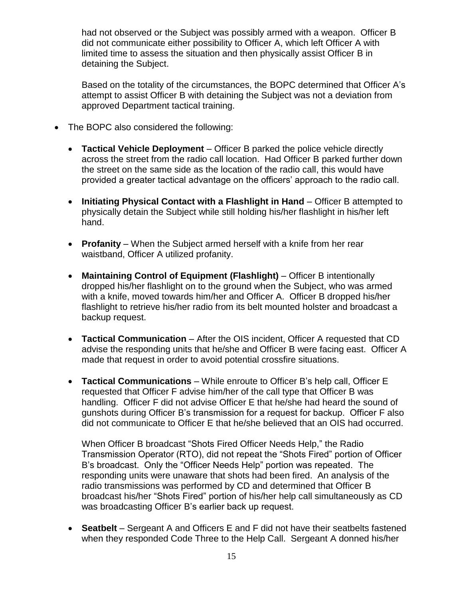had not observed or the Subject was possibly armed with a weapon. Officer B did not communicate either possibility to Officer A, which left Officer A with limited time to assess the situation and then physically assist Officer B in detaining the Subject.

Based on the totality of the circumstances, the BOPC determined that Officer A's attempt to assist Officer B with detaining the Subject was not a deviation from approved Department tactical training.

- The BOPC also considered the following:
	- **Tactical Vehicle Deployment** Officer B parked the police vehicle directly across the street from the radio call location. Had Officer B parked further down the street on the same side as the location of the radio call, this would have provided a greater tactical advantage on the officers' approach to the radio call.
	- **Initiating Physical Contact with a Flashlight in Hand** Officer B attempted to physically detain the Subject while still holding his/her flashlight in his/her left hand.
	- **Profanity** When the Subject armed herself with a knife from her rear waistband, Officer A utilized profanity.
	- **Maintaining Control of Equipment (Flashlight)** Officer B intentionally dropped his/her flashlight on to the ground when the Subject, who was armed with a knife, moved towards him/her and Officer A. Officer B dropped his/her flashlight to retrieve his/her radio from its belt mounted holster and broadcast a backup request.
	- **Tactical Communication** After the OIS incident, Officer A requested that CD advise the responding units that he/she and Officer B were facing east. Officer A made that request in order to avoid potential crossfire situations.
	- **Tactical Communications** While enroute to Officer B's help call, Officer E requested that Officer F advise him/her of the call type that Officer B was handling. Officer F did not advise Officer E that he/she had heard the sound of gunshots during Officer B's transmission for a request for backup. Officer F also did not communicate to Officer E that he/she believed that an OIS had occurred.

When Officer B broadcast "Shots Fired Officer Needs Help," the Radio Transmission Operator (RTO), did not repeat the "Shots Fired" portion of Officer B's broadcast. Only the "Officer Needs Help" portion was repeated. The responding units were unaware that shots had been fired. An analysis of the radio transmissions was performed by CD and determined that Officer B broadcast his/her "Shots Fired" portion of his/her help call simultaneously as CD was broadcasting Officer B's earlier back up request.

• **Seatbelt** – Sergeant A and Officers E and F did not have their seatbelts fastened when they responded Code Three to the Help Call. Sergeant A donned his/her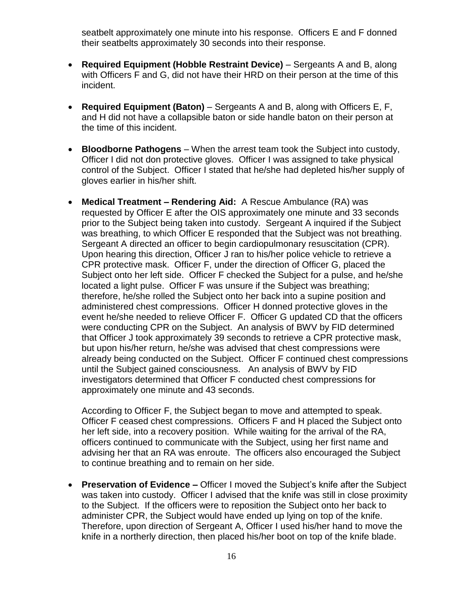seatbelt approximately one minute into his response. Officers E and F donned their seatbelts approximately 30 seconds into their response.

- **Required Equipment (Hobble Restraint Device)**  Sergeants A and B, along with Officers F and G, did not have their HRD on their person at the time of this incident.
- **Required Equipment (Baton)**  Sergeants A and B, along with Officers E, F, and H did not have a collapsible baton or side handle baton on their person at the time of this incident.
- **Bloodborne Pathogens**  When the arrest team took the Subject into custody, Officer I did not don protective gloves. Officer I was assigned to take physical control of the Subject. Officer I stated that he/she had depleted his/her supply of gloves earlier in his/her shift.
- **Medical Treatment – Rendering Aid:** A Rescue Ambulance (RA) was requested by Officer E after the OIS approximately one minute and 33 seconds prior to the Subject being taken into custody. Sergeant A inquired if the Subject was breathing, to which Officer E responded that the Subject was not breathing. Sergeant A directed an officer to begin cardiopulmonary resuscitation (CPR). Upon hearing this direction, Officer J ran to his/her police vehicle to retrieve a CPR protective mask. Officer F, under the direction of Officer G, placed the Subject onto her left side. Officer F checked the Subject for a pulse, and he/she located a light pulse. Officer F was unsure if the Subject was breathing; therefore, he/she rolled the Subject onto her back into a supine position and administered chest compressions. Officer H donned protective gloves in the event he/she needed to relieve Officer F. Officer G updated CD that the officers were conducting CPR on the Subject. An analysis of BWV by FID determined that Officer J took approximately 39 seconds to retrieve a CPR protective mask, but upon his/her return, he/she was advised that chest compressions were already being conducted on the Subject. Officer F continued chest compressions until the Subject gained consciousness. An analysis of BWV by FID investigators determined that Officer F conducted chest compressions for approximately one minute and 43 seconds.

According to Officer F, the Subject began to move and attempted to speak. Officer F ceased chest compressions. Officers F and H placed the Subject onto her left side, into a recovery position. While waiting for the arrival of the RA, officers continued to communicate with the Subject, using her first name and advising her that an RA was enroute. The officers also encouraged the Subject to continue breathing and to remain on her side.

• **Preservation of Evidence –** Officer I moved the Subject's knife after the Subject was taken into custody. Officer I advised that the knife was still in close proximity to the Subject. If the officers were to reposition the Subject onto her back to administer CPR, the Subject would have ended up lying on top of the knife. Therefore, upon direction of Sergeant A, Officer I used his/her hand to move the knife in a northerly direction, then placed his/her boot on top of the knife blade.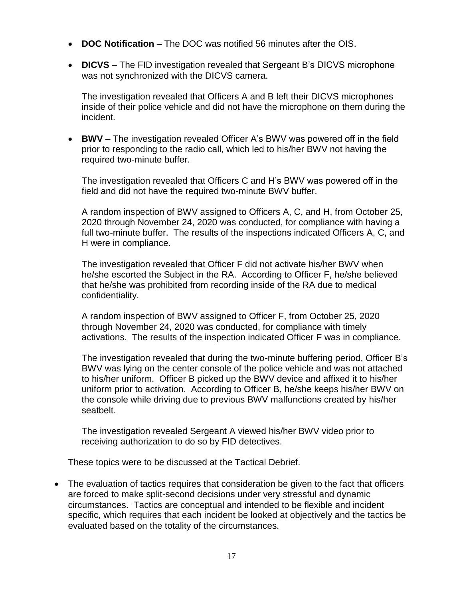- **DOC Notification** The DOC was notified 56 minutes after the OIS.
- **DICVS** The FID investigation revealed that Sergeant B's DICVS microphone was not synchronized with the DICVS camera.

The investigation revealed that Officers A and B left their DICVS microphones inside of their police vehicle and did not have the microphone on them during the incident.

• **BWV** – The investigation revealed Officer A's BWV was powered off in the field prior to responding to the radio call, which led to his/her BWV not having the required two-minute buffer.

The investigation revealed that Officers C and H's BWV was powered off in the field and did not have the required two-minute BWV buffer.

A random inspection of BWV assigned to Officers A, C, and H, from October 25, 2020 through November 24, 2020 was conducted, for compliance with having a full two-minute buffer. The results of the inspections indicated Officers A, C, and H were in compliance.

The investigation revealed that Officer F did not activate his/her BWV when he/she escorted the Subject in the RA. According to Officer F, he/she believed that he/she was prohibited from recording inside of the RA due to medical confidentiality.

A random inspection of BWV assigned to Officer F, from October 25, 2020 through November 24, 2020 was conducted, for compliance with timely activations. The results of the inspection indicated Officer F was in compliance.

The investigation revealed that during the two-minute buffering period, Officer B's BWV was lying on the center console of the police vehicle and was not attached to his/her uniform. Officer B picked up the BWV device and affixed it to his/her uniform prior to activation. According to Officer B, he/she keeps his/her BWV on the console while driving due to previous BWV malfunctions created by his/her seatbelt.

The investigation revealed Sergeant A viewed his/her BWV video prior to receiving authorization to do so by FID detectives.

These topics were to be discussed at the Tactical Debrief.

• The evaluation of tactics requires that consideration be given to the fact that officers are forced to make split-second decisions under very stressful and dynamic circumstances. Tactics are conceptual and intended to be flexible and incident specific, which requires that each incident be looked at objectively and the tactics be evaluated based on the totality of the circumstances.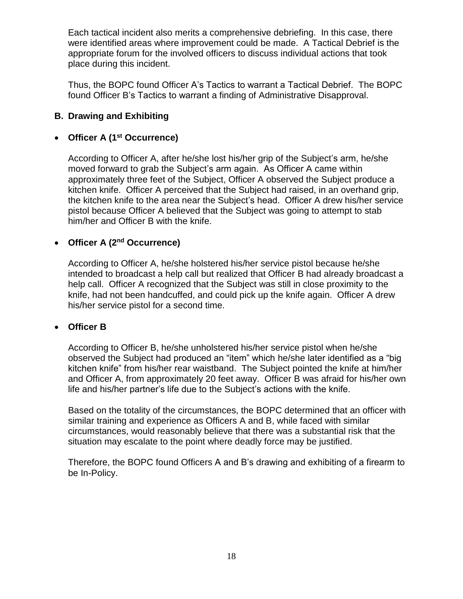Each tactical incident also merits a comprehensive debriefing. In this case, there were identified areas where improvement could be made. A Tactical Debrief is the appropriate forum for the involved officers to discuss individual actions that took place during this incident.

Thus, the BOPC found Officer A's Tactics to warrant a Tactical Debrief. The BOPC found Officer B's Tactics to warrant a finding of Administrative Disapproval.

# **B. Drawing and Exhibiting**

## • **Officer A (1st Occurrence)**

According to Officer A, after he/she lost his/her grip of the Subject's arm, he/she moved forward to grab the Subject's arm again. As Officer A came within approximately three feet of the Subject, Officer A observed the Subject produce a kitchen knife. Officer A perceived that the Subject had raised, in an overhand grip, the kitchen knife to the area near the Subject's head. Officer A drew his/her service pistol because Officer A believed that the Subject was going to attempt to stab him/her and Officer B with the knife.

#### • **Officer A (2nd Occurrence)**

According to Officer A, he/she holstered his/her service pistol because he/she intended to broadcast a help call but realized that Officer B had already broadcast a help call. Officer A recognized that the Subject was still in close proximity to the knife, had not been handcuffed, and could pick up the knife again. Officer A drew his/her service pistol for a second time.

#### • **Officer B**

According to Officer B, he/she unholstered his/her service pistol when he/she observed the Subject had produced an "item" which he/she later identified as a "big kitchen knife" from his/her rear waistband. The Subject pointed the knife at him/her and Officer A, from approximately 20 feet away. Officer B was afraid for his/her own life and his/her partner's life due to the Subject's actions with the knife.

Based on the totality of the circumstances, the BOPC determined that an officer with similar training and experience as Officers A and B, while faced with similar circumstances, would reasonably believe that there was a substantial risk that the situation may escalate to the point where deadly force may be justified.

Therefore, the BOPC found Officers A and B's drawing and exhibiting of a firearm to be In-Policy.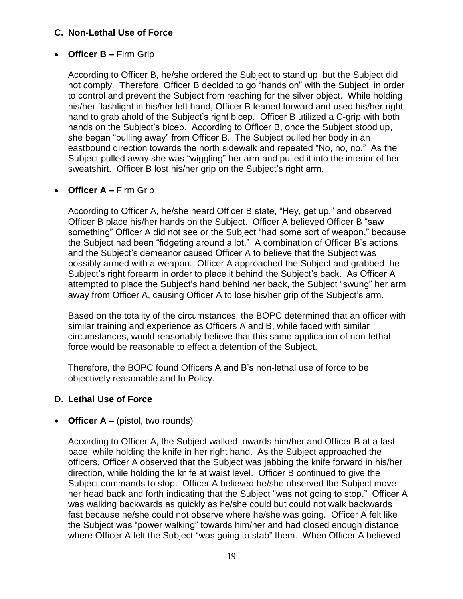# **C. Non-Lethal Use of Force**

## • **Officer B –** Firm Grip

According to Officer B, he/she ordered the Subject to stand up, but the Subject did not comply. Therefore, Officer B decided to go "hands on" with the Subject, in order to control and prevent the Subject from reaching for the silver object. While holding his/her flashlight in his/her left hand, Officer B leaned forward and used his/her right hand to grab ahold of the Subject's right bicep. Officer B utilized a C-grip with both hands on the Subject's bicep. According to Officer B, once the Subject stood up, she began "pulling away" from Officer B. The Subject pulled her body in an eastbound direction towards the north sidewalk and repeated "No, no, no." As the Subject pulled away she was "wiggling" her arm and pulled it into the interior of her sweatshirt. Officer B lost his/her grip on the Subject's right arm.

#### • **Officer A –** Firm Grip

According to Officer A, he/she heard Officer B state, "Hey, get up," and observed Officer B place his/her hands on the Subject. Officer A believed Officer B "saw something" Officer A did not see or the Subject "had some sort of weapon," because the Subject had been "fidgeting around a lot." A combination of Officer B's actions and the Subject's demeanor caused Officer A to believe that the Subject was possibly armed with a weapon. Officer A approached the Subject and grabbed the Subject's right forearm in order to place it behind the Subject's back. As Officer A attempted to place the Subject's hand behind her back, the Subject "swung" her arm away from Officer A, causing Officer A to lose his/her grip of the Subject's arm.

Based on the totality of the circumstances, the BOPC determined that an officer with similar training and experience as Officers A and B, while faced with similar circumstances, would reasonably believe that this same application of non-lethal force would be reasonable to effect a detention of the Subject.

Therefore, the BOPC found Officers A and B's non-lethal use of force to be objectively reasonable and In Policy.

#### **D. Lethal Use of Force**

#### • **Officer A** – (pistol, two rounds)

According to Officer A, the Subject walked towards him/her and Officer B at a fast pace, while holding the knife in her right hand. As the Subject approached the officers, Officer A observed that the Subject was jabbing the knife forward in his/her direction, while holding the knife at waist level. Officer B continued to give the Subject commands to stop. Officer A believed he/she observed the Subject move her head back and forth indicating that the Subject "was not going to stop." Officer A was walking backwards as quickly as he/she could but could not walk backwards fast because he/she could not observe where he/she was going.Officer A felt like the Subject was "power walking" towards him/her and had closed enough distance where Officer A felt the Subject "was going to stab" them. When Officer A believed